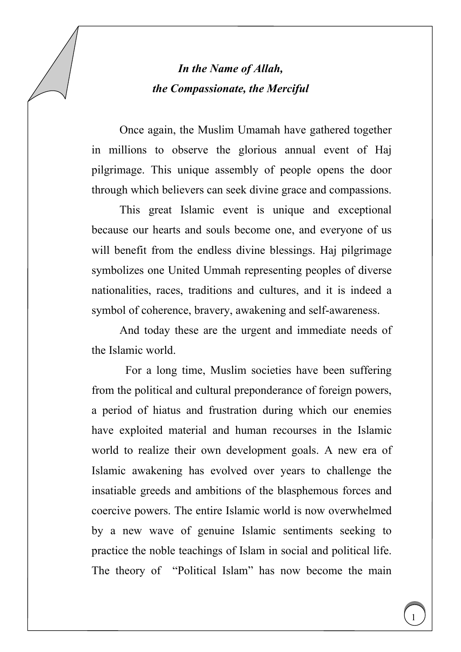## *In the Name of Allah, the Compassionate, the Merciful*

Once again, the Muslim Umamah have gathered together in millions to observe the glorious annual event of Haj pilgrimage. This unique assembly of people opens the door through which believers can seek divine grace and compassions.

This great Islamic event is unique and exceptional because our hearts and souls become one, and everyone of us will benefit from the endless divine blessings. Haj pilgrimage symbolizes one United Ummah representing peoples of diverse nationalities, races, traditions and cultures, and it is indeed a symbol of coherence, bravery, awakening and self-awareness.

And today these are the urgent and immediate needs of the Islamic world.

For a long time, Muslim societies have been suffering from the political and cultural preponderance of foreign powers, a period of hiatus and frustration during which our enemies have exploited material and human recourses in the Islamic world to realize their own development goals. A new era of Islamic awakening has evolved over years to challenge the insatiable greeds and ambitions of the blasphemous forces and coercive powers. The entire Islamic world is now overwhelmed by a new wave of genuine Islamic sentiments seeking to practice the noble teachings of Islam in social and political life. The theory of "Political Islam" has now become the main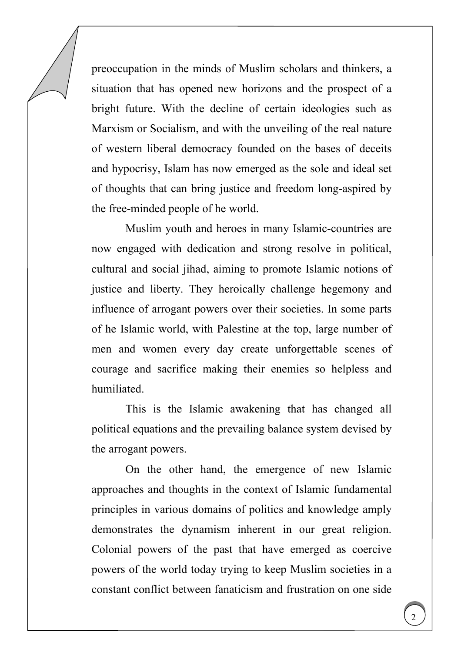preoccupation in the minds of Muslim scholars and thinkers, a situation that has opened new horizons and the prospect of a bright future. With the decline of certain ideologies such as Marxism or Socialism, and with the unveiling of the real nature of western liberal democracy founded on the bases of deceits and hypocrisy, Islam has now emerged as the sole and ideal set of thoughts that can bring justice and freedom long-aspired by the free-minded people of he world.

Muslim youth and heroes in many Islamic-countries are now engaged with dedication and strong resolve in political, cultural and social jihad, aiming to promote Islamic notions of justice and liberty. They heroically challenge hegemony and influence of arrogant powers over their societies. In some parts of he Islamic world, with Palestine at the top, large number of men and women every day create unforgettable scenes of courage and sacrifice making their enemies so helpless and humiliated.

This is the Islamic awakening that has changed all political equations and the prevailing balance system devised by the arrogant powers.

On the other hand, the emergence of new Islamic approaches and thoughts in the context of Islamic fundamental principles in various domains of politics and knowledge amply demonstrates the dynamism inherent in our great religion. Colonial powers of the past that have emerged as coercive powers of the world today trying to keep Muslim societies in a constant conflict between fanaticism and frustration on one side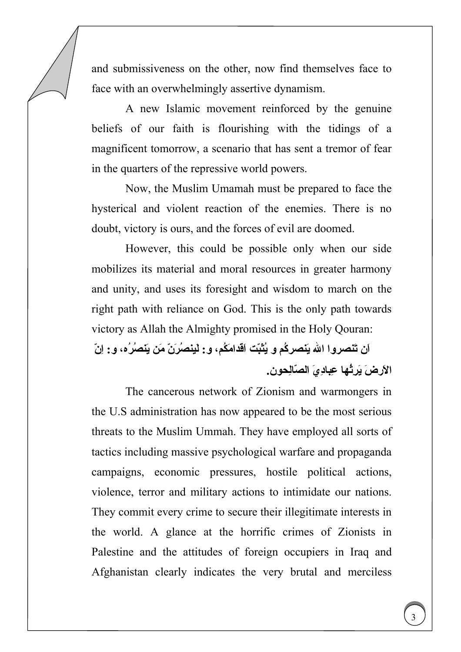and submissiveness on the other, now find themselves face to face with an overwhelmingly assertive dynamism.

A new Islamic movement reinforced by the genuine beliefs of our faith is flourishing with the tidings of a magnificent tomorrow, a scenario that has sent a tremor of fear in the quarters of the repressive world powers.

Now, the Muslim Umamah must be prepared to face the hysterical and violent reaction of the enemies. There is no doubt, victory is ours, and the forces of evil are doomed.

However, this could be possible only when our side mobilizes its material and moral resources in greater harmony and unity, and uses its foresight and wisdom to march on the right path with reliance on God. This is the only path towards victory as Allah the Almighty promised in the Holy Qouran:

**اَن تَنصروا االله يَنصرآُم و يُثَبّت اَقدا َمكُم، و: لَين ُص َر ّن مَن َينصُرُه، و: اِنّ ا َلارضَ يَرُِثها عِبادِيَ الصّالِحون.** 

The cancerous network of Zionism and warmongers in the U.S administration has now appeared to be the most serious threats to the Muslim Ummah. They have employed all sorts of tactics including massive psychological warfare and propaganda campaigns, economic pressures, hostile political actions, violence, terror and military actions to intimidate our nations. They commit every crime to secure their illegitimate interests in the world. A glance at the horrific crimes of Zionists in Palestine and the attitudes of foreign occupiers in Iraq and Afghanistan clearly indicates the very brutal and merciless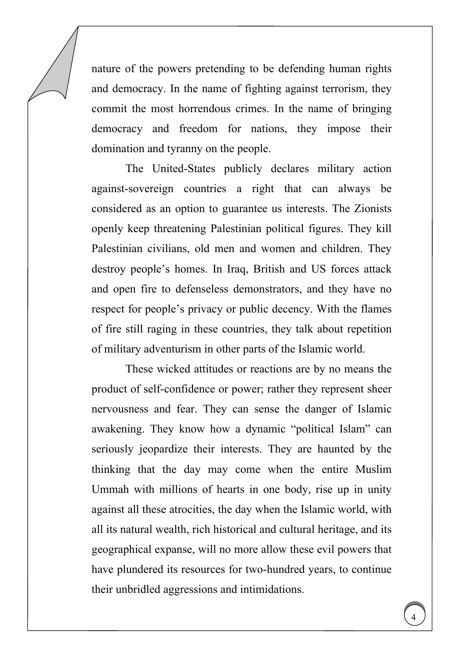nature of the powers pretending to be defending human rights and democracy. In the name of fighting against terrorism, they commit the most horrendous crimes. In the name of bringing democracy and freedom for nations, they impose their domination and tyranny on the people.

The United-States publicly declares military action against-sovereign countries a right that can always be considered as an option to guarantee us interests. The Zionists openly keep threatening Palestinian political figures. They kill Palestinian civilians, old men and women and children. They destroy people's homes. In Iraq, British and US forces attack and open fire to defenseless demonstrators, and they have no respect for people's privacy or public decency. With the flames of fire still raging in these countries, they talk about repetition of military adventurism in other parts of the Islamic world.

These wicked attitudes or reactions are by no means the product of self-confidence or power; rather they represent sheer nervousness and fear. They can sense the danger of Islamic awakening. They know how a dynamic "political Islam" can seriously jeopardize their interests. They are haunted by the thinking that the day may come when the entire Muslim Ummah with millions of hearts in one body, rise up in unity against all these atrocities, the day when the Islamic world, with all its natural wealth, rich historical and cultural heritage, and its geographical expanse, will no more allow these evil powers that have plundered its resources for two-hundred years, to continue their unbridled aggressions and intimidations.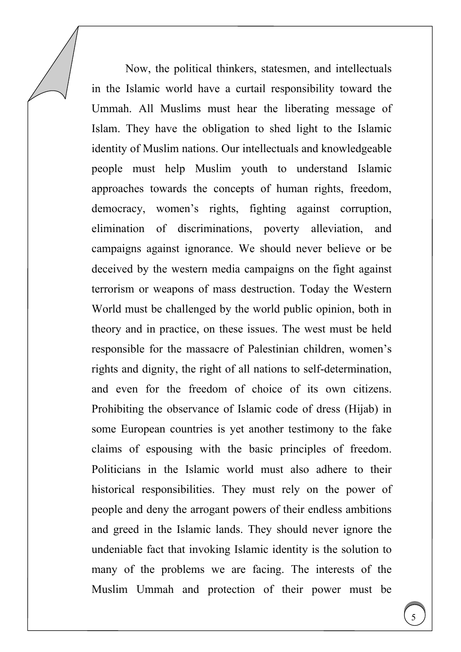Now, the political thinkers, statesmen, and intellectuals in the Islamic world have a curtail responsibility toward the Ummah. All Muslims must hear the liberating message of Islam. They have the obligation to shed light to the Islamic identity of Muslim nations. Our intellectuals and knowledgeable people must help Muslim youth to understand Islamic approaches towards the concepts of human rights, freedom, democracy, women's rights, fighting against corruption, elimination of discriminations, poverty alleviation, and campaigns against ignorance. We should never believe or be deceived by the western media campaigns on the fight against terrorism or weapons of mass destruction. Today the Western World must be challenged by the world public opinion, both in theory and in practice, on these issues. The west must be held responsible for the massacre of Palestinian children, women's rights and dignity, the right of all nations to self-determination, and even for the freedom of choice of its own citizens. Prohibiting the observance of Islamic code of dress (Hijab) in some European countries is yet another testimony to the fake claims of espousing with the basic principles of freedom. Politicians in the Islamic world must also adhere to their historical responsibilities. They must rely on the power of people and deny the arrogant powers of their endless ambitions and greed in the Islamic lands. They should never ignore the undeniable fact that invoking Islamic identity is the solution to many of the problems we are facing. The interests of the Muslim Ummah and protection of their power must be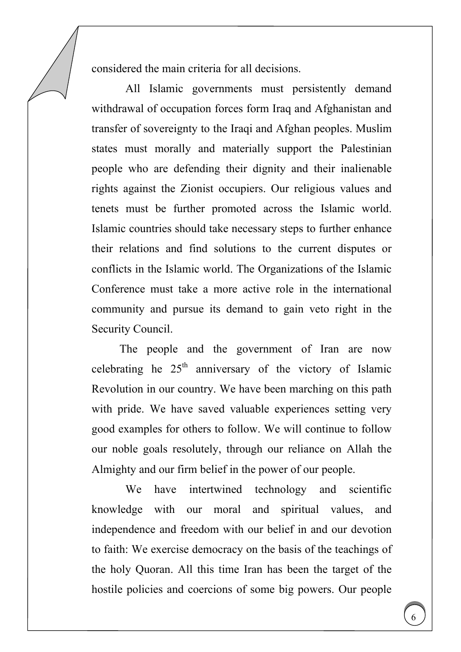considered the main criteria for all decisions.

All Islamic governments must persistently demand withdrawal of occupation forces form Iraq and Afghanistan and transfer of sovereignty to the Iraqi and Afghan peoples. Muslim states must morally and materially support the Palestinian people who are defending their dignity and their inalienable rights against the Zionist occupiers. Our religious values and tenets must be further promoted across the Islamic world. Islamic countries should take necessary steps to further enhance their relations and find solutions to the current disputes or conflicts in the Islamic world. The Organizations of the Islamic Conference must take a more active role in the international community and pursue its demand to gain veto right in the Security Council.

The people and the government of Iran are now celebrating he  $25<sup>th</sup>$  anniversary of the victory of Islamic Revolution in our country. We have been marching on this path with pride. We have saved valuable experiences setting very good examples for others to follow. We will continue to follow our noble goals resolutely, through our reliance on Allah the Almighty and our firm belief in the power of our people.

We have intertwined technology and scientific knowledge with our moral and spiritual values, and independence and freedom with our belief in and our devotion to faith: We exercise democracy on the basis of the teachings of the holy Quoran. All this time Iran has been the target of the hostile policies and coercions of some big powers. Our people